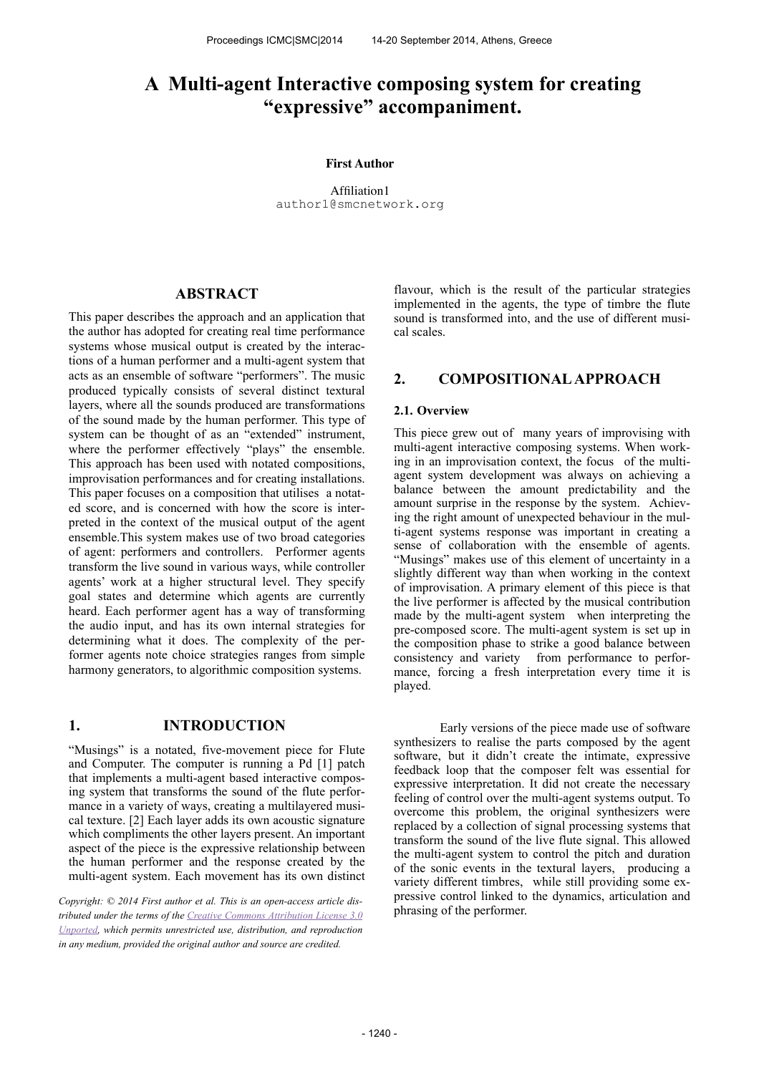# **A Multi-agent Interactive composing system for creating "expressive" accompaniment.**

#### **First Author**

Affiliation1 [author1@smcnetwork.org](mailto:author1@smcnetwork.org?subject=smc%25202010%2520paper)

## **ABSTRACT**

This paper describes the approach and an application that the author has adopted for creating real time performance systems whose musical output is created by the interactions of a human performer and a multi-agent system that acts as an ensemble of software "performers". The music produced typically consists of several distinct textural layers, where all the sounds produced are transformations of the sound made by the human performer. This type of system can be thought of as an "extended" instrument, where the performer effectively "plays" the ensemble. This approach has been used with notated compositions, improvisation performances and for creating installations. This paper focuses on a composition that utilises a notated score, and is concerned with how the score is interpreted in the context of the musical output of the agent ensemble.This system makes use of two broad categories of agent: performers and controllers. Performer agents transform the live sound in various ways, while controller agents' work at a higher structural level. They specify goal states and determine which agents are currently heard. Each performer agent has a way of transforming the audio input, and has its own internal strategies for determining what it does. The complexity of the performer agents note choice strategies ranges from simple harmony generators, to algorithmic composition systems.

# **1. INTRODUCTION**

"Musings" is a notated, five-movement piece for Flute and Computer. The computer is running a Pd [1] patch that implements a multi-agent based interactive composing system that transforms the sound of the flute performance in a variety of ways, creating a multilayered musical texture. [2] Each layer adds its own acoustic signature which compliments the other layers present. An important aspect of the piece is the expressive relationship between the human performer and the response created by the multi-agent system. Each movement has its own distinct

*Copyright: © 2014 First author et al. This is an open-access article dis[tributed under the terms of the Creative Commons Attribution License 3.0](http://creativecommons.org/licenses/by/3.0/) Unported, which permits unrestricted use, distribution, and reproduction in any medium, provided the original author and source are credited.*

flavour, which is the result of the particular strategies implemented in the agents, the type of timbre the flute sound is transformed into, and the use of different musical scales.

# **2. COMPOSITIONAL APPROACH**

#### **2.1. Overview**

This piece grew out of many years of improvising with multi-agent interactive composing systems. When working in an improvisation context, the focus of the multiagent system development was always on achieving a balance between the amount predictability and the amount surprise in the response by the system. Achieving the right amount of unexpected behaviour in the multi-agent systems response was important in creating a sense of collaboration with the ensemble of agents. "Musings" makes use of this element of uncertainty in a slightly different way than when working in the context of improvisation. A primary element of this piece is that the live performer is affected by the musical contribution made by the multi-agent system when interpreting the pre-composed score. The multi-agent system is set up in the composition phase to strike a good balance between consistency and variety from performance to performance, forcing a fresh interpretation every time it is played.

 Early versions of the piece made use of software synthesizers to realise the parts composed by the agent software, but it didn't create the intimate, expressive feedback loop that the composer felt was essential for expressive interpretation. It did not create the necessary feeling of control over the multi-agent systems output. To overcome this problem, the original synthesizers were replaced by a collection of signal processing systems that transform the sound of the live flute signal. This allowed the multi-agent system to control the pitch and duration of the sonic events in the textural layers, producing a variety different timbres, while still providing some expressive control linked to the dynamics, articulation and phrasing of the performer.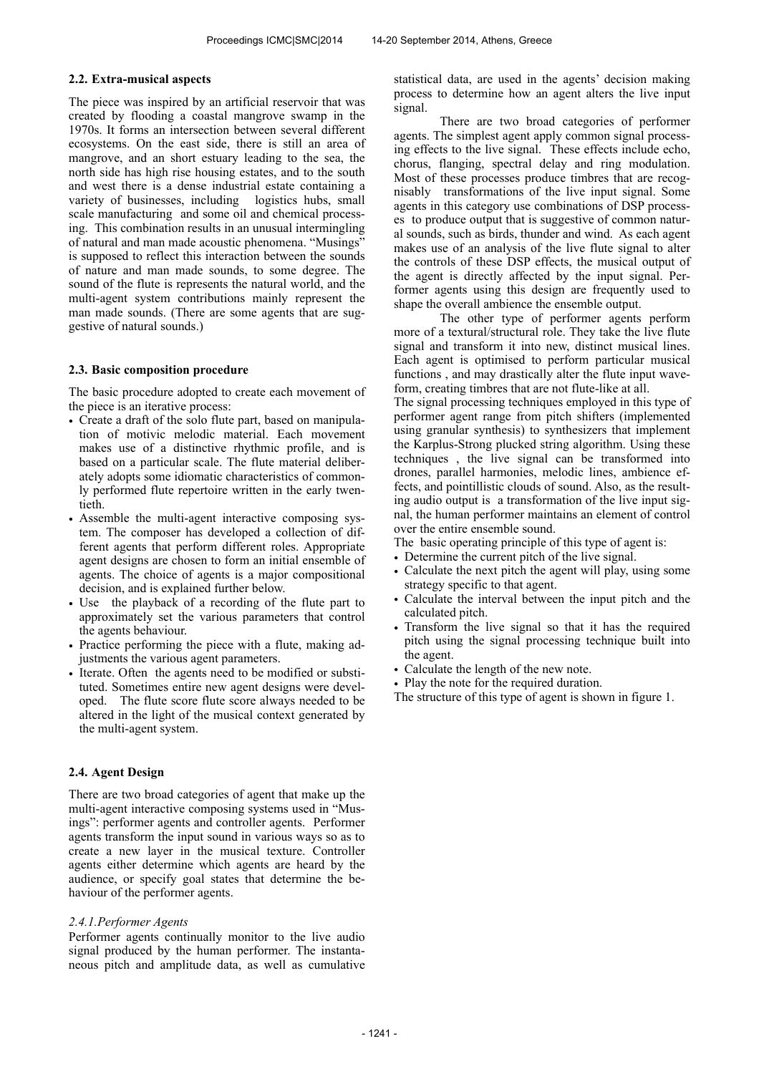#### **2.2. Extra-musical aspects**

The piece was inspired by an artificial reservoir that was created by flooding a coastal mangrove swamp in the 1970s. It forms an intersection between several different ecosystems. On the east side, there is still an area of mangrove, and an short estuary leading to the sea, the north side has high rise housing estates, and to the south and west there is a dense industrial estate containing a variety of businesses, including logistics hubs, small scale manufacturing and some oil and chemical processing. This combination results in an unusual intermingling of natural and man made acoustic phenomena. "Musings" is supposed to reflect this interaction between the sounds of nature and man made sounds, to some degree. The sound of the flute is represents the natural world, and the multi-agent system contributions mainly represent the man made sounds. (There are some agents that are suggestive of natural sounds.)

## **2.3. Basic composition procedure**

The basic procedure adopted to create each movement of the piece is an iterative process:

- Create a draft of the solo flute part, based on manipulation of motivic melodic material. Each movement makes use of a distinctive rhythmic profile, and is based on a particular scale. The flute material deliberately adopts some idiomatic characteristics of commonly performed flute repertoire written in the early twentieth.
- Assemble the multi-agent interactive composing system. The composer has developed a collection of different agents that perform different roles. Appropriate agent designs are chosen to form an initial ensemble of agents. The choice of agents is a major compositional decision, and is explained further below.
- Use the playback of a recording of the flute part to approximately set the various parameters that control the agents behaviour.
- Practice performing the piece with a flute, making adjustments the various agent parameters.
- Iterate. Often the agents need to be modified or substituted. Sometimes entire new agent designs were developed. The flute score flute score always needed to be altered in the light of the musical context generated by the multi-agent system.

## **2.4. Agent Design**

There are two broad categories of agent that make up the multi-agent interactive composing systems used in "Musings": performer agents and controller agents. Performer agents transform the input sound in various ways so as to create a new layer in the musical texture. Controller agents either determine which agents are heard by the audience, or specify goal states that determine the behaviour of the performer agents.

#### *2.4.1.Performer Agents*

Performer agents continually monitor to the live audio signal produced by the human performer. The instantaneous pitch and amplitude data, as well as cumulative statistical data, are used in the agents' decision making process to determine how an agent alters the live input signal.

 There are two broad categories of performer agents. The simplest agent apply common signal processing effects to the live signal. These effects include echo, chorus, flanging, spectral delay and ring modulation. Most of these processes produce timbres that are recognisably transformations of the live input signal. Some agents in this category use combinations of DSP processes to produce output that is suggestive of common natural sounds, such as birds, thunder and wind. As each agent makes use of an analysis of the live flute signal to alter the controls of these DSP effects, the musical output of the agent is directly affected by the input signal. Performer agents using this design are frequently used to shape the overall ambience the ensemble output.

 The other type of performer agents perform more of a textural/structural role. They take the live flute signal and transform it into new, distinct musical lines. Each agent is optimised to perform particular musical functions , and may drastically alter the flute input waveform, creating timbres that are not flute-like at all.

The signal processing techniques employed in this type of performer agent range from pitch shifters (implemented using granular synthesis) to synthesizers that implement the Karplus-Strong plucked string algorithm. Using these techniques , the live signal can be transformed into drones, parallel harmonies, melodic lines, ambience effects, and pointillistic clouds of sound. Also, as the resulting audio output is a transformation of the live input signal, the human performer maintains an element of control over the entire ensemble sound.

The basic operating principle of this type of agent is:

- Determine the current pitch of the live signal.
- Calculate the next pitch the agent will play, using some strategy specific to that agent.
- Calculate the interval between the input pitch and the calculated pitch.
- Transform the live signal so that it has the required pitch using the signal processing technique built into the agent.
- Calculate the length of the new note.
- Play the note for the required duration.

The structure of this type of agent is shown in figure 1.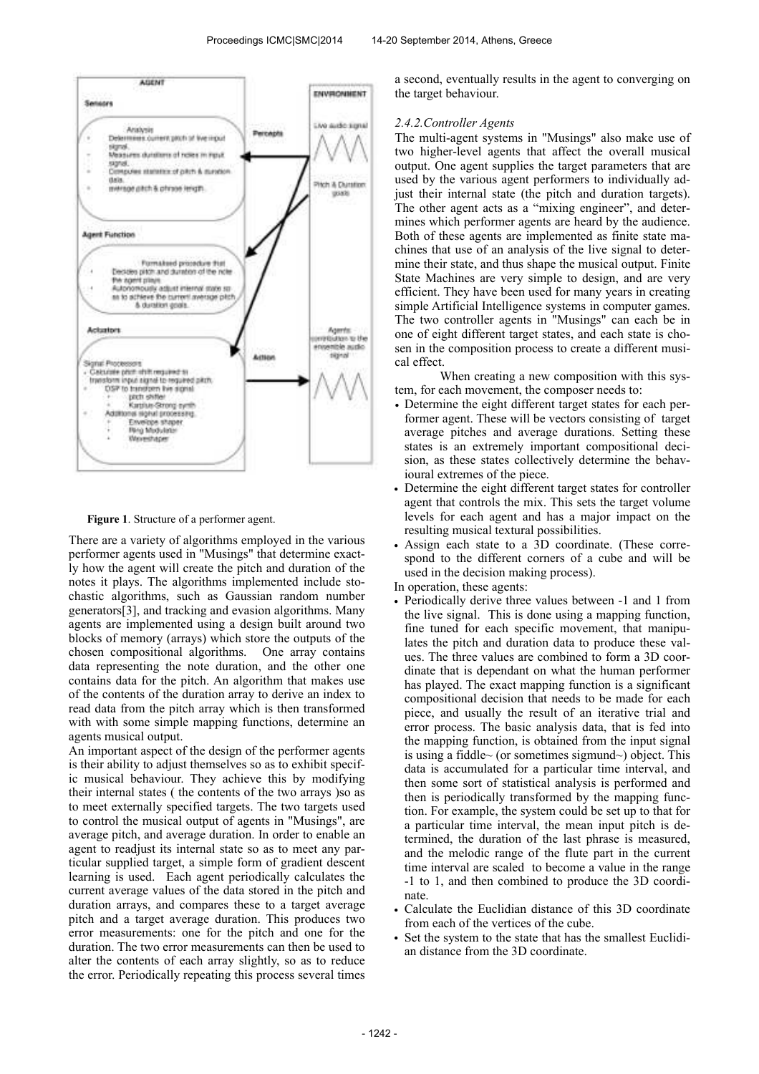

**Figure 1**. Structure of a performer agent.

There are a variety of algorithms employed in the various performer agents used in "Musings" that determine exactly how the agent will create the pitch and duration of the notes it plays. The algorithms implemented include stochastic algorithms, such as Gaussian random number generators[3], and tracking and evasion algorithms. Many agents are implemented using a design built around two blocks of memory (arrays) which store the outputs of the chosen compositional algorithms. One array contains data representing the note duration, and the other one contains data for the pitch. An algorithm that makes use of the contents of the duration array to derive an index to read data from the pitch array which is then transformed with with some simple mapping functions, determine an agents musical output.

An important aspect of the design of the performer agents is their ability to adjust themselves so as to exhibit specific musical behaviour. They achieve this by modifying their internal states ( the contents of the two arrays )so as to meet externally specified targets. The two targets used to control the musical output of agents in "Musings", are average pitch, and average duration. In order to enable an agent to readjust its internal state so as to meet any particular supplied target, a simple form of gradient descent learning is used. Each agent periodically calculates the current average values of the data stored in the pitch and duration arrays, and compares these to a target average pitch and a target average duration. This produces two error measurements: one for the pitch and one for the duration. The two error measurements can then be used to alter the contents of each array slightly, so as to reduce the error. Periodically repeating this process several times

a second, eventually results in the agent to converging on the target behaviour.

# *2.4.2.Controller Agents*

The multi-agent systems in "Musings" also make use of two higher-level agents that affect the overall musical output. One agent supplies the target parameters that are used by the various agent performers to individually adjust their internal state (the pitch and duration targets). The other agent acts as a "mixing engineer", and determines which performer agents are heard by the audience. Both of these agents are implemented as finite state machines that use of an analysis of the live signal to determine their state, and thus shape the musical output. Finite State Machines are very simple to design, and are very efficient. They have been used for many years in creating simple Artificial Intelligence systems in computer games. The two controller agents in "Musings" can each be in one of eight different target states, and each state is chosen in the composition process to create a different musical effect.

 When creating a new composition with this system, for each movement, the composer needs to:

- Determine the eight different target states for each performer agent. These will be vectors consisting of target average pitches and average durations. Setting these states is an extremely important compositional decision, as these states collectively determine the behavioural extremes of the piece.
- Determine the eight different target states for controller agent that controls the mix. This sets the target volume levels for each agent and has a major impact on the resulting musical textural possibilities.
- Assign each state to a 3D coordinate. (These correspond to the different corners of a cube and will be used in the decision making process).
- In operation, these agents:
- Periodically derive three values between -1 and 1 from the live signal. This is done using a mapping function, fine tuned for each specific movement, that manipulates the pitch and duration data to produce these values. The three values are combined to form a 3D coordinate that is dependant on what the human performer has played. The exact mapping function is a significant compositional decision that needs to be made for each piece, and usually the result of an iterative trial and error process. The basic analysis data, that is fed into the mapping function, is obtained from the input signal is using a fiddle~ (or sometimes sigmund~) object. This data is accumulated for a particular time interval, and then some sort of statistical analysis is performed and then is periodically transformed by the mapping function. For example, the system could be set up to that for a particular time interval, the mean input pitch is determined, the duration of the last phrase is measured, and the melodic range of the flute part in the current time interval are scaled to become a value in the range -1 to 1, and then combined to produce the 3D coordinate.
- Calculate the Euclidian distance of this 3D coordinate from each of the vertices of the cube.
- Set the system to the state that has the smallest Euclidian distance from the 3D coordinate.